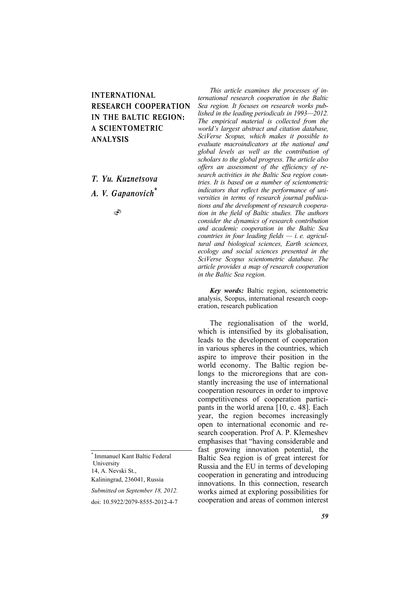## INTERNATIONAL RESEARCH COOPERATION IN THE BALTIC REGION: A SCIENTOMETRIC ANALYSIS

*í. Yu. Kuznetsova A. V. Gapanovich\**

S

\* Immanuel Kant Baltic Federal University 14, A. Nevski St., Kaliningrad, 236041, Russia

*Submitted on September 18, 2012.* 

doi: 10.5922/2079-8555-2012-4-7

*This article examines the processes of international research cooperation in the Baltic Sea region. It focuses on research works published in the leading periodicals in 1993—2012. The empirical material is collected from the world's largest abstract and citation database, SciVerse Scopus, which makes it possible to evaluate macroindicators at the national and global levels as well as the contribution of scholars to the global progress. The article also offers an assessment of the efficiency of research activities in the Baltic Sea region countries. It is based on a number of scientometric indicators that reflect the performance of universities in terms of research journal publications and the development of research cooperation in the field of Baltic studies. The authors consider the dynamics of research contribution and academic cooperation in the Baltic Sea countries in four leading fields — i. e. agricultural and biological sciences, Earth sciences, ecology and social sciences presented in the SciVerse Scopus scientometric database. The article provides a map of research cooperation in the Baltic Sea region.* 

*Key words:* Baltic region, scientometric analysis, Scopus, international research cooperation, research publication

The regionalisation of the world, which is intensified by its globalisation, leads to the development of cooperation in various spheres in the countries, which aspire to improve their position in the world economy. The Baltic region belongs to the microregions that are constantly increasing the use of international cooperation resources in order to improve competitiveness of cooperation participants in the world arena [10, c. 48]. Each year, the region becomes increasingly open to international economic and research cooperation. Prof A. P. Klemeshev emphasises that "having considerable and fast growing innovation potential, the Baltic Sea region is of great interest for Russia and the EU in terms of developing cooperation in generating and introducing innovations. In this connection, research works aimed at exploring possibilities for cooperation and areas of common interest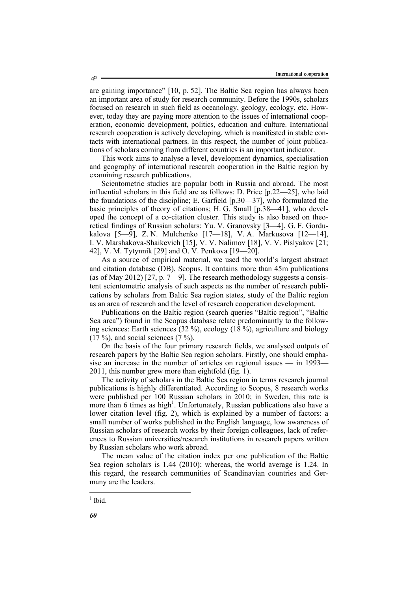are gaining importance" [10, p. 52]. The Baltic Sea region has always been an important area of study for research community. Before the 1990s, scholars focused on research in such field as oceanology, geology, ecology, etc. However, today they are paying more attention to the issues of international cooperation, economic development, politics, education and culture. International research cooperation is actively developing, which is manifested in stable contacts with international partners. In this respect, the number of joint publications of scholars coming from different countries is an important indicator.

This work aims to analyse a level, development dynamics, specialisation and geography of international research cooperation in the Baltic region by examining research publications.

Scientometric studies are popular both in Russia and abroad. The most influential scholars in this field are as follows: D. Price [p.22—25], who laid the foundations of the discipline; E. Garfield [p.30—37], who formulated the basic principles of theory of citations; H. G. Small [p.38—41], who developed the concept of a co-citation cluster. This study is also based on theoretical findings of Russian scholars: Yu. V. Granovsky [3—4], G. F. Gordukalova [5—9], Z. N. Mulchenko [17—18], V. A. Markusova [12—14], I. V. Marshakova-Shaikevich [15], V. V. Nalimov [18], V. V. Pislyakov [21; 42], V. M. Tytynnik [29] and O. V. Penkova [19—20].

As a source of empirical material, we used the world's largest abstract and citation database (DB), Scopus. It contains more than 45m publications (as of May 2012) [27, p. 7—9]. The research methodology suggests a consistent scientometric analysis of such aspects as the number of research publications by scholars from Baltic Sea region states, study of the Baltic region as an area of research and the level of research cooperation development.

Publications on the Baltic region (search queries "Baltic region", "Baltic Sea area") found in the Scopus database relate predominantly to the following sciences: Earth sciences  $(32\%)$ , ecology  $(18\%)$ , agriculture and biology  $(17 \%)$ , and social sciences  $(7 \%)$ .

On the basis of the four primary research fields, we analysed outputs of research papers by the Baltic Sea region scholars. Firstly, one should emphasise an increase in the number of articles on regional issues — in 1993— 2011, this number grew more than eightfold (fig. 1).

The activity of scholars in the Baltic Sea region in terms research journal publications is highly differentiated. According to Scopus, 8 research works were published per 100 Russian scholars in 2010; in Sweden, this rate is more than 6 times as high<sup>1</sup>. Unfortunately, Russian publications also have a lower citation level (fig. 2), which is explained by a number of factors: a small number of works published in the English language, low awareness of Russian scholars of research works by their foreign colleagues, lack of references to Russian universities/research institutions in research papers written by Russian scholars who work abroad.

The mean value of the citation index per one publication of the Baltic Sea region scholars is 1.44 (2010); whereas, the world average is 1.24. In this regard, the research communities of Scandinavian countries and Germany are the leaders.

l

 $<sup>1</sup>$  Ibid.</sup>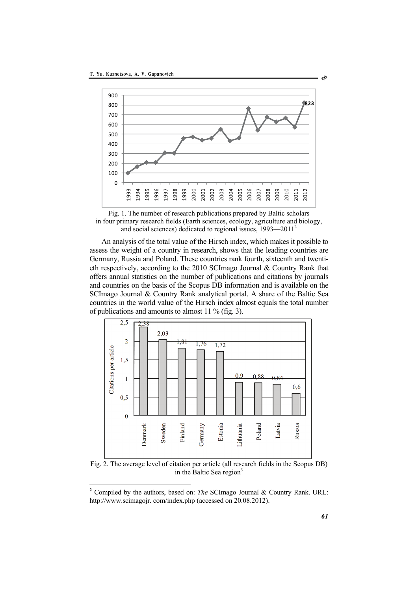



An analysis of the total value of the Hirsch index, which makes it possible to assess the weight of a country in research, shows that the leading countries are Germany, Russia and Poland. These countries rank fourth, sixteenth and twentieth respectively, according to the 2010 SCImago Journal & Country Rank that offers annual statistics on the number of publications and citations by journals and countries on the basis of the Scopus DB information and is available on the SCImago Journal & Country Rank analytical portal. A share of the Baltic Sea countries in the world value of the Hirsch index almost equals the total number of publications and amounts to almost 11 % (fig. 3).



Fig. 2. The average level of citation per article (all research fields in the Scopus DB) in the Baltic Sea region

l

Ò

 Compiled by the authors, based on: *The* SCImago Journal & Country Rank. URL: http://www.scimagojr.com/index.php (accessed on 20.08.2012).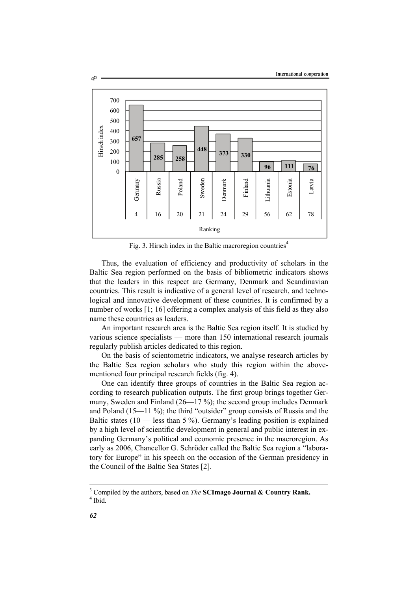

Fig. 3. Hirsch index in the Baltic macroregion countries<sup>4</sup>

Thus, the evaluation of efficiency and productivity of scholars in the Baltic Sea region performed on the basis of bibliometric indicators shows that the leaders in this respect are Germany, Denmark and Scandinavian countries. This result is indicative of a general level of research, and technological and innovative development of these countries. It is confirmed by a number of works [1; 16] offering a complex analysis of this field as they also name these countries as leaders.

An important research area is the Baltic Sea region itself. It is studied by various science specialists — more than 150 international research journals regularly publish articles dedicated to this region.

On the basis of scientometric indicators, we analyse research articles by the Baltic Sea region scholars who study this region within the abovementioned four principal research fields (fig. 4).

One can identify three groups of countries in the Baltic Sea region according to research publication outputs. The first group brings together Germany, Sweden and Finland (26—17 %); the second group includes Denmark and Poland (15—11 %); the third "outsider" group consists of Russia and the Baltic states  $(10$  — less than 5 %). Germany's leading position is explained by a high level of scientific development in general and public interest in expanding Germany's political and economic presence in the macroregion. As early as 2006, Chancellor G. Schröder called the Baltic Sea region a "laboratory for Europe" in his speech on the occasion of the German presidency in the Council of the Baltic Sea States [2].

l

Ò

<sup>3</sup> Compiled by the authors, based on *The* **SCImago Journal & Country Rank.** <sup>4</sup>

 $<sup>4</sup>$  Ibid.</sup>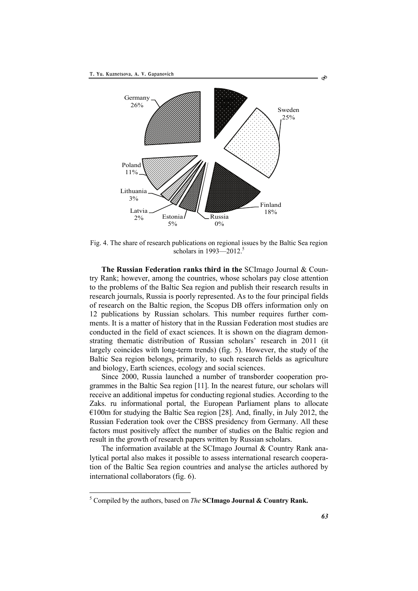

Fig. 4. The share of research publications on regional issues by the Baltic Sea region scholars in  $1993 - 2012$ .<sup>5</sup>

**The Russian Federation ranks third in the** SCImago Journal & Country Rank; however, among the countries, whose scholars pay close attention to the problems of the Baltic Sea region and publish their research results in research journals, Russia is poorly represented. As to the four principal fields of research on the Baltic region, the Scopus DB offers information only on 12 publications by Russian scholars. This number requires further comments. It is a matter of history that in the Russian Federation most studies are conducted in the field of exact sciences. It is shown on the diagram demonstrating thematic distribution of Russian scholars' research in 2011 (it largely coincides with long-term trends) (fig. 5). However, the study of the Baltic Sea region belongs, primarily, to such research fields as agriculture and biology, Earth sciences, ecology and social sciences.

Since 2000, Russia launched a number of transborder cooperation programmes in the Baltic Sea region [11]. In the nearest future, our scholars will receive an additional impetus for conducting regional studies. According to the Zaks. ru informational portal, the European Parliament plans to allocate  $\epsilon$ 100m for studying the Baltic Sea region [28]. And, finally, in July 2012, the Russian Federation took over the CBSS presidency from Germany. All these factors must positively affect the number of studies on the Baltic region and result in the growth of research papers written by Russian scholars.

The information available at the SCI mago Journal & Country Rank analytical portal also makes it possible to assess international research cooperation of the Baltic Sea region countries and analyse the articles authored by international collaborators (fig. 6).

l

S

<sup>5</sup> Compiled by the authors, based on *The* **SCImago Journal & Country Rank.**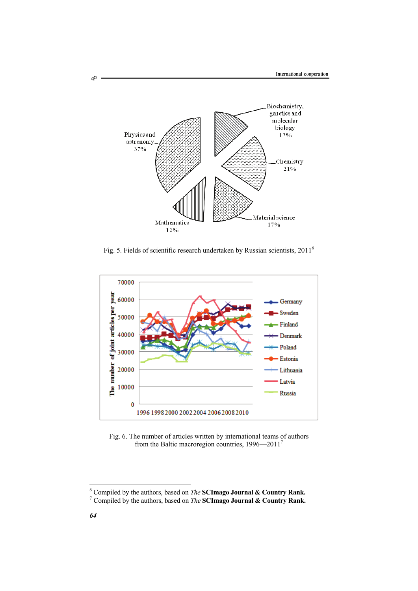

Fig. 5. Fields of scientific research undertaken by Russian scientists, 20116



Fig. 6. The number of articles written by international teams of authors from the Baltic macroregion countries, 1996—20117

Ò

<sup>&</sup>lt;sup>6</sup> Compiled by the authors, based on *The* **SCImago Journal & Country Rank.**<sup>7</sup> Compiled by the authors, based on *The* **SCImago Journal & Country Rank.** 

Compiled by the authors, based on *The* **SCImago Journal & Country Rank.**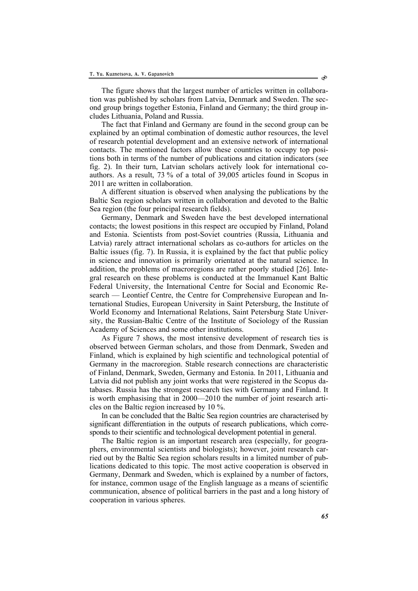The figure shows that the largest number of articles written in collaboration was published by scholars from Latvia, Denmark and Sweden. The second group brings together Estonia, Finland and Germany; the third group includes Lithuania, Poland and Russia.

The fact that Finland and Germany are found in the second group can be explained by an optimal combination of domestic author resources, the level of research potential development and an extensive network of international contacts. The mentioned factors allow these countries to occupy top positions both in terms of the number of publications and citation indicators (see fig. 2). In their turn, Latvian scholars actively look for international coauthors. As a result, 73 % of a total of 39,005 articles found in Scopus in 2011 are written in collaboration.

A different situation is observed when analysing the publications by the Baltic Sea region scholars written in collaboration and devoted to the Baltic Sea region (the four principal research fields).

Germany, Denmark and Sweden have the best developed international contacts; the lowest positions in this respect are occupied by Finland, Poland and Estonia. Scientists from post-Soviet countries (Russia, Lithuania and Latvia) rarely attract international scholars as co-authors for articles on the Baltic issues (fig. 7). In Russia, it is explained by the fact that public policy in science and innovation is primarily orientated at the natural science. In addition, the problems of macroregions are rather poorly studied [26]. Integral research on these problems is conducted at the Immanuel Kant Baltic Federal University, the International Centre for Social and Economic Research — Leontief Centre, the Centre for Comprehensive European and International Studies, European University in Saint Petersburg, the Institute of World Economy and International Relations, Saint Petersburg State University, the Russian-Baltic Centre of the Institute of Sociology of the Russian Academy of Sciences and some other institutions.

As Figure 7 shows, the most intensive development of research ties is observed between German scholars, and those from Denmark, Sweden and Finland, which is explained by high scientific and technological potential of Germany in the macroregion. Stable research connections are characteristic of Finland, Denmark, Sweden, Germany and Estonia. In 2011, Lithuania and Latvia did not publish any joint works that were registered in the Scopus databases. Russia has the strongest research ties with Germany and Finland. It is worth emphasising that in 2000—2010 the number of joint research articles on the Baltic region increased by 10 %.

In can be concluded that the Baltic Sea region countries are characterised by significant differentiation in the outputs of research publications, which corresponds to their scientific and technological development potential in general.

The Baltic region is an important research area (especially, for geographers, environmental scientists and biologists); however, joint research carried out by the Baltic Sea region scholars results in a limited number of publications dedicated to this topic. The most active cooperation is observed in Germany, Denmark and Sweden, which is explained by a number of factors, for instance, common usage of the English language as a means of scientific communication, absence of political barriers in the past and a long history of cooperation in various spheres.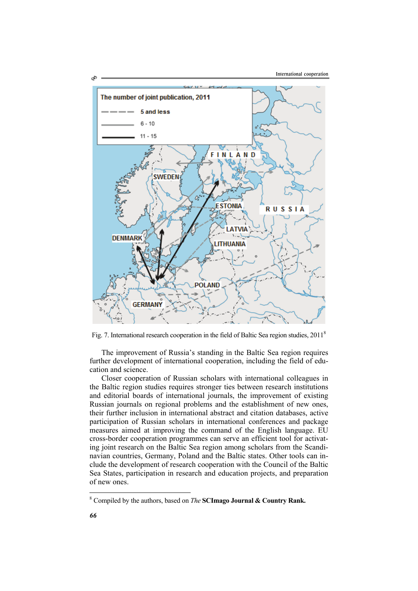

Fig. 7. International research cooperation in the field of Baltic Sea region studies, 2011<sup>8</sup>

The improvement of Russia's standing in the Baltic Sea region requires further development of international cooperation, including the field of education and science.

Closer cooperation of Russian scholars with international colleagues in the Baltic region studies requires stronger ties between research institutions and editorial boards of international journals, the improvement of existing Russian journals on regional problems and the establishment of new ones, their further inclusion in international abstract and citation databases, active participation of Russian scholars in international conferences and package measures aimed at improving the command of the English language. EU cross-border cooperation programmes can serve an efficient tool for activating joint research on the Baltic Sea region among scholars from the Scandinavian countries, Germany, Poland and the Baltic states. Other tools can include the development of research cooperation with the Council of the Baltic Sea States, participation in research and education projects, and preparation of new ones.

l

<sup>8</sup> Compiled by the authors, based on *The* **SCImago Journal & Country Rank.**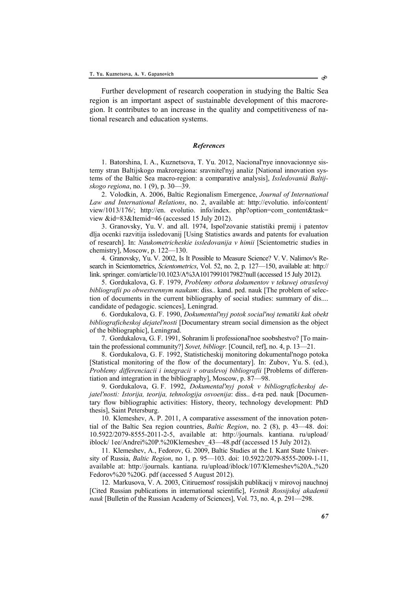Further development of research cooperation in studying the Baltic Sea region is an important aspect of sustainable development of this macroregion. It contributes to an increase in the quality and competitiveness of national research and education systems.

## *References*

1. Batorshina, I. A., Kuznetsova, T. Yu. 2012, Nacional'nye innovacionnye sistemy stran Baltijskogo makroregiona: sravnitel'nyj analiz [National innovation systems of the Baltic Sea macro-region: a comparative analysis], *Issledovaniâ Baltijskogo regiona*, no. 1 (9), p. 30—39.

2. Volodkin, А. 2006, Baltic Regionalism Emergence, *Journal of International Law and International Relations*, no. 2, available at: http://evolutio. info/content/ view/1013/176/; http://en. evolutio. info/index. php?option=com\_content&task= view &id=83&Itemid=46 (accessed 15 July 2012).

3. Granovsky, Yu. V. and all. 1974, Ispol'zovanie statistiki premij i patentov dlja ocenki razvitija issledovanij [Using Statistics awards and patents for evaluation of research]. In: *Naukometricheskie issledovanija v himii* [Scientometric studies in chemistry], Moscow, p. 122—130.

4. Granovsky, Yu. V. 2002, Is It Possible to Measure Science? V. V. Nalimov's Research in Scientometrics, *Scientometrics*, Vol. 52, no. 2, p. 127—150, available at: http:// link. springer. com/article/10.1023/A%3A1017991017982?null (accessed 15 July 2012).

5. Gordukalova, G. F. 1979, *Problemy otbora dokumentov v tekuwej otraslevoj bibliografii po obwestvennym naukam*: diss.. kand. ped. nauk [The problem of selection of documents in the current bibliography of social studies: summary of dis.... candidate of pedagogic. sciences], Leningrad.

6. Gordukalova, G. F. 1990, *Dokumental'nyj potok social'noj tematiki kak obekt bibliograficheskoj dejatel'nosti* [Documentary stream social dimension as the object of the bibliographic], Leningrad.

7. Gordukalova, G. F. 1991, Sohranim li professional'noe soobshestvo? [To maintain the professional community?] *Sovet, bibliogr.* [Council, ref], no. 4, p. 13—21.

8. Gordukalova, G. F. 1992, Statisticheskij monitoring dokumental'nogo potoka [Statistical monitoring of the flow of the documentary]. In: Zubov, Yu. S. (ed.), *Problemy differenciacii i integracii v otraslevoj bibliografii* [Problems of differentiation and integration in the bibliography], Moscow, p. 87—98.

9. Gordukalova, G. F. 1992, *Dokumental'nyj potok v bibliograficheskoj dejatel'nosti: Istorija, teorija, tehnologija osvoenija*: diss.. d-ra ped. nauk [Documentary flow bibliographic activities: History, theory, technology development: PhD thesis], Saint Petersburg.

10. Klemeshev, A. P. 2011, A comparative assessment of the innovation potential of the Baltic Sea region countries, *Baltic Region*, no. 2 (8), p. 43—48. doi: 10.5922/2079-8555-2011-2-5, available at: http://journals. kantiana. ru/upload/ iblock/ 1ee/Andrei%20P.%20Klemeshev\_43—48.pdf (accessed 15 July 2012).

11. Klemeshev, A., Fedorov, G. 2009, Baltic Studies at the I. Kant State University of Russia, *Baltic Region*, no 1, p. 95—103. doi: 10.5922/2079-8555-2009-1-11, available at: http://journals. kantiana. ru/upload/iblock/107/Klemeshev%20A.,%20 Fedorov%20 %20G. pdf (accessed 5 August 2012).

12. Markusova, V. А. 2003, Citiruemost' rossijskih publikacij v mirovoj nauchnoj [Cited Russian publications in international scientific], *Vestnik Rossijskoj akademii nauk* [Bulletin of the Russian Academy of Sciences], Vol. 73, no. 4, p. 291—298.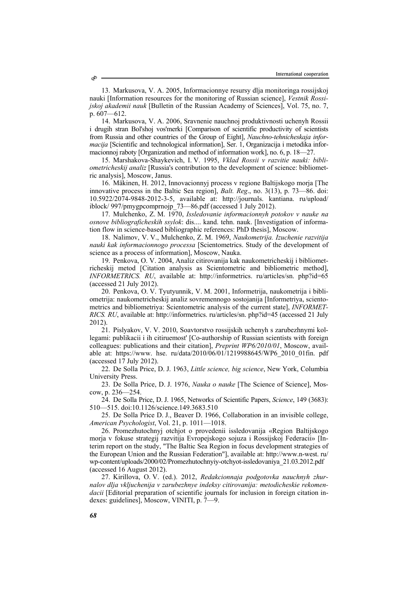13. Markusova, V. А. 2005, Informacionnye resursy dlja monitoringa rossijskoj nauki [Information resources for the monitoring of Russian science], *Vestnik Rossijskoj akademii nauk* [Bulletin of the Russian Academy of Sciences], Vol. 75, no. 7, p. 607—612.

14. Markusova, V. А. 2006, Sravnenie nauchnoj produktivnosti uchenyh Rossii i drugih stran Bol'shoj vos'merki [Comparison of scientific productivity of scientists from Russia and other countries of the Group of Eight], *Nauchno-tehnicheskaja informacija* [Scientific and technological information], Ser. 1, Organizacija i metodika informacionnoj raboty [Organization and method of information work], no. 6, p. 18—27.

15. Marshakova-Shaykevich, I. V. 1995, *Vklad Rossii v razvitie nauki: bibliometricheskij analiz* [Russia's contribution to the development of science: bibliometric analysis], Мoscow, Janus.

16. Mäkinen, H. 2012, Innovacionnyj process v regione Baltijskogo morja [The innovative process in the Baltic Sea region], *Balt. Reg*., no. 3(13), p. 73—86. doi: 10.5922/2074-9848-2012-3-5, available at: http://journals. kantiana. ru/upload/ iblock/ 997/pmygpcomprnojp\_73—86.pdf (accessed 1 July 2012).

17. Mulchenko, Z. М. 1970, *Issledovanie informacionnyh potokov v nauke na osnove bibliograficheskih ssylok*: dis.... kand. tehn. nauk. [Investigation of information flow in science-based bibliographic references: PhD thesis], Мoscow.

18. Nalimov, V. V., Mulchenko, Z. М. 1969, *Naukometrija. Izuchenie razvitija nauki kak informacionnogo processa* [Scientometrics. Study of the development of science as a process of information], Moscow, Nauka.

19. Penkova, О. V. 2004, Analiz citirovanija kak naukometricheskij i bibliometricheskij metod [Citation analysis as Scientometric and bibliometric method], *INFORMETRICS. RU*, available at: http://informetrics. ru/articles/sn. php?id=65 (accessed 21 July 2012).

20. Penkova, О. V. Tyutyunnik, V. М. 2001, Informetrija, naukometrija i bibliometrija: naukometricheskij analiz sovremennogo sostojanija [Informetriya, scientometrics and bibliometriya: Scientometric analysis of the current state], *INFORMET-RICS. RU*, available at: http://informetrics. ru/articles/sn. php?id=45 (accessed 21 July 2012).

21. Pislyakov, V. V. 2010, Soavtorstvo rossijskih uchenyh s zarubezhnymi kollegami: publikacii i ih citiruemost' [Co-authorship of Russian scientists with foreign colleagues: publications and their citation], *Preprint WP6/2010/01*, Мoscow, available at: https://www. hse. ru/data/2010/06/01/1219988645/WP6\_2010\_01fin. pdf (accessed 17 July 2012).

22. De Solla Price, D. J. 1963, *Little science, big science*, New York, Columbia University Press.

23. De Solla Price, D. J. 1976, *Nauka o nauke* [The Science of Science], Мoscow, p. 236—254.

24. De Solla Price, D. J. 1965, Networks of Scientific Papers, *Science*, 149 (3683): 510—515. doi:10.1126/science.149.3683.510

25. De Solla Price D. J., Beaver D. 1966, Collaboration in an invisible college, *American Psychologist*, Vol. 21, p. 1011—1018.

26. Promezhutochnyj otchjot o provedenii issledovanija «Region Baltijskogo morja v fokuse strategij razvitija Evropejskogo sojuza i Rossijskoj Federacii» [Interim report on the study, "The Baltic Sea Region in focus development strategies of the European Union and the Russian Federation"], available at: http://www.n-west. ru/ wp-content/uploads/2000/02/Promezhutochnyiy-otchyot-issledovaniya\_21.03.2012.pdf (accessed 16 August 2012).

27. Kirillova, O. V. (ed.). 2012, *Redakcionnaja podgotovka nauchnyh zhurnalov dlja vkljuchenija v zarubezhnye indeksy citirovanija: metodicheskie rekomendacii* [Editorial preparation of scientific journals for inclusion in foreign citation indexes: guidelines], Moscow, VINITI, p. 7—9.

S